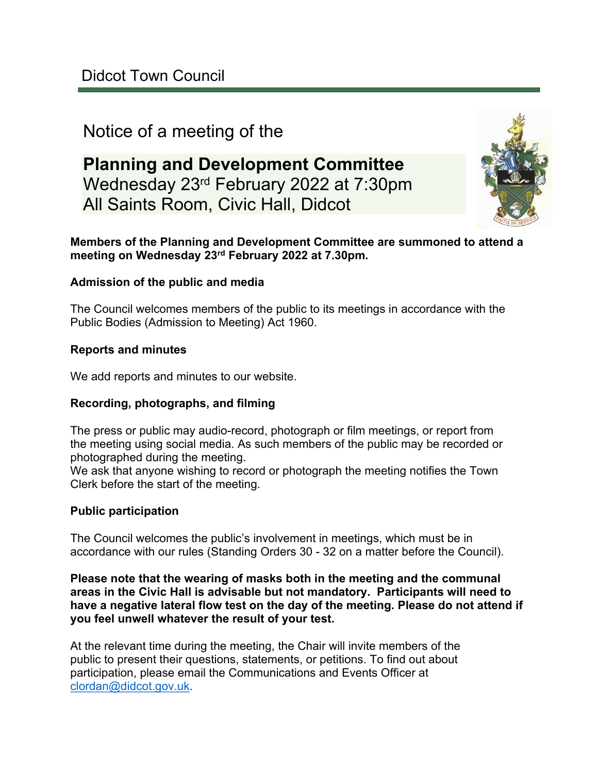# Notice of a meeting of the

**Planning and Development Committee** Wednesday 23rd February 2022 at 7:30pm All Saints Room, Civic Hall, Didcot



#### **Members of the Planning and Development Committee are summoned to attend a meeting on Wednesday 23rd February 2022 at 7.30pm.**

#### **Admission of the public and media**

The Council welcomes members of the public to its meetings in accordance with the Public Bodies (Admission to Meeting) Act 1960.

#### **Reports and minutes**

We add reports and minutes to our website.

#### **Recording, photographs, and filming**

The press or public may audio-record, photograph or film meetings, or report from the meeting using social media. As such members of the public may be recorded or photographed during the meeting.

We ask that anyone wishing to record or photograph the meeting notifies the Town Clerk before the start of the meeting.

#### **Public participation**

The Council welcomes the public's involvement in meetings, which must be in accordance with our rules (Standing Orders 30 - 32 on a matter before the Council).

**Please note that the wearing of masks both in the meeting and the communal areas in the Civic Hall is advisable but not mandatory. Participants will need to have a negative lateral flow test on the day of the meeting. Please do not attend if you feel unwell whatever the result of your test.**

At the relevant time during the meeting, the Chair will invite members of the public to present their questions, statements, or petitions. To find out about participation, please email the Communications and Events Officer at [clordan@didcot.gov.uk](mailto:clordan@didcot.gov.uk).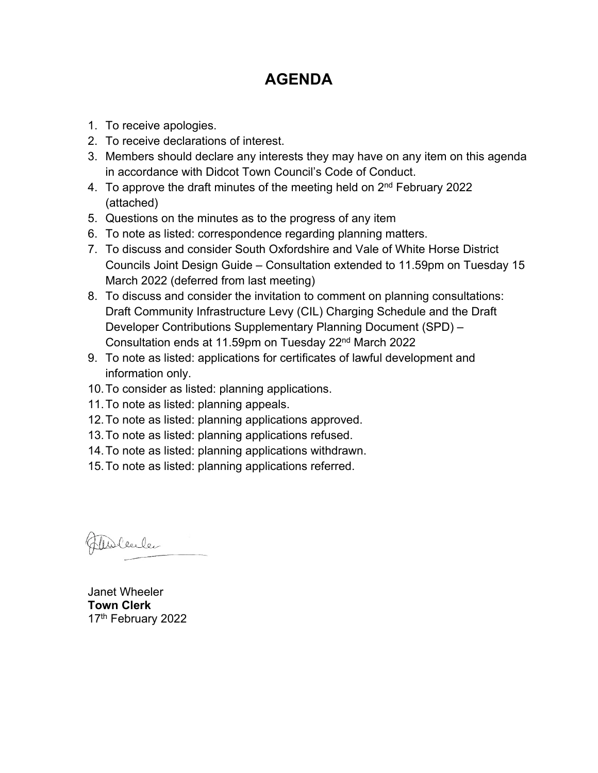# **AGENDA**

- 1. To receive apologies.
- 2. To receive declarations of interest.
- 3. Members should declare any interests they may have on any item on this agenda in accordance with Didcot Town Council's Code of Conduct.
- 4. To approve the draft minutes of the meeting held on 2<sup>nd</sup> February 2022 (attached)
- 5. Questions on the minutes as to the progress of any item
- 6. To note as listed: correspondence regarding planning matters.
- 7. To discuss and consider South Oxfordshire and Vale of White Horse District Councils Joint Design Guide – Consultation extended to 11.59pm on Tuesday 15 March 2022 (deferred from last meeting)
- 8. To discuss and consider the invitation to comment on planning consultations: Draft Community Infrastructure Levy (CIL) Charging Schedule and the Draft Developer Contributions Supplementary Planning Document (SPD) – Consultation ends at 11.59pm on Tuesday 22nd March 2022
- 9. To note as listed: applications for certificates of lawful development and information only.
- 10.To consider as listed: planning applications.
- 11.To note as listed: planning appeals.
- 12.To note as listed: planning applications approved.
- 13.To note as listed: planning applications refused.
- 14.To note as listed: planning applications withdrawn.
- 15.To note as listed: planning applications referred.

Alblenler

Janet Wheeler **Town Clerk** 17<sup>th</sup> February 2022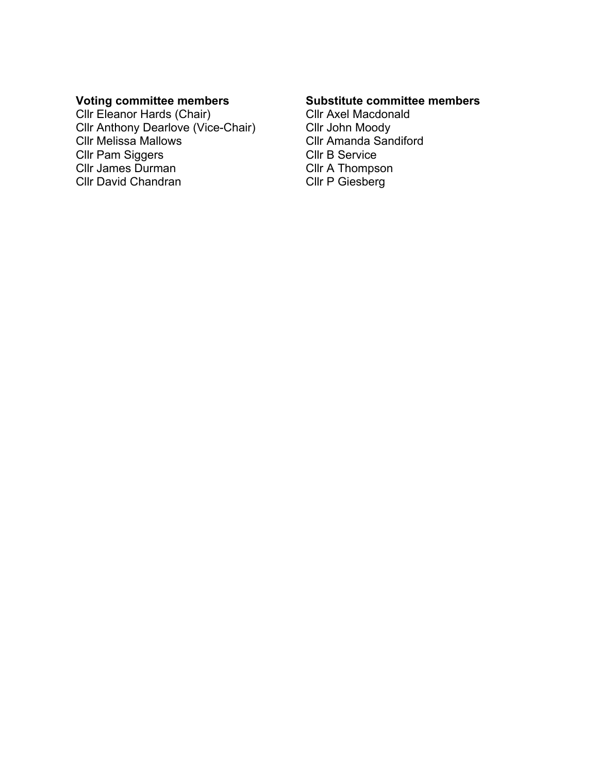### **Voting committee members**

Cllr Eleanor Hards (Chair) Cllr Anthony Dearlove (Vice-Chair) Cllr Melissa Mallows Cllr Pam Siggers Cllr James Durman Cllr David Chandran

#### **Substitute committee members**

Cllr Axel Macdonald Cllr John Moody Cllr Amanda Sandiford Cllr B Service Cllr A Thompson Cllr P Giesberg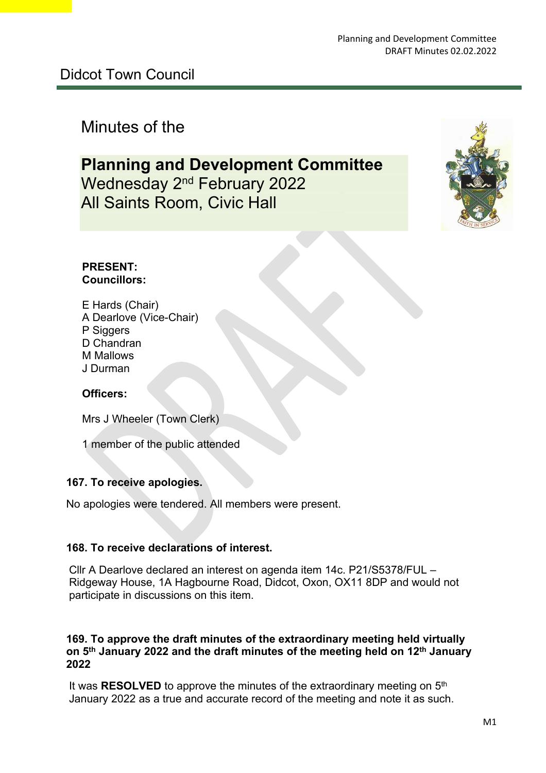# Minutes of the

# **Planning and Development Committee** Wednesday 2<sup>nd</sup> February 2022 All Saints Room, Civic Hall



#### **PRESENT: Councillors:**

E Hards (Chair) A Dearlove (Vice-Chair) P Siggers D Chandran M Mallows J Durman

### **Officers:**

Mrs J Wheeler (Town Clerk)

1 member of the public attended

#### **167. To receive apologies.**

No apologies were tendered. All members were present.

#### **168. To receive declarations of interest.**

Cllr A Dearlove declared an interest on agenda item 14c. P21/S5378/FUL Ridgeway House, 1A Hagbourne Road, Didcot, Oxon, OX11 8DP and would not participate in discussions on this item.

#### **169. To approve the draft minutes of the extraordinary meeting held virtually on 5th January 2022 and the draft minutes of the meeting held on 12th January 2022**

 It was **RESOLVED** to approve the minutes of the extraordinary meeting on 5th January 2022 as a true and accurate record of the meeting and note it as such.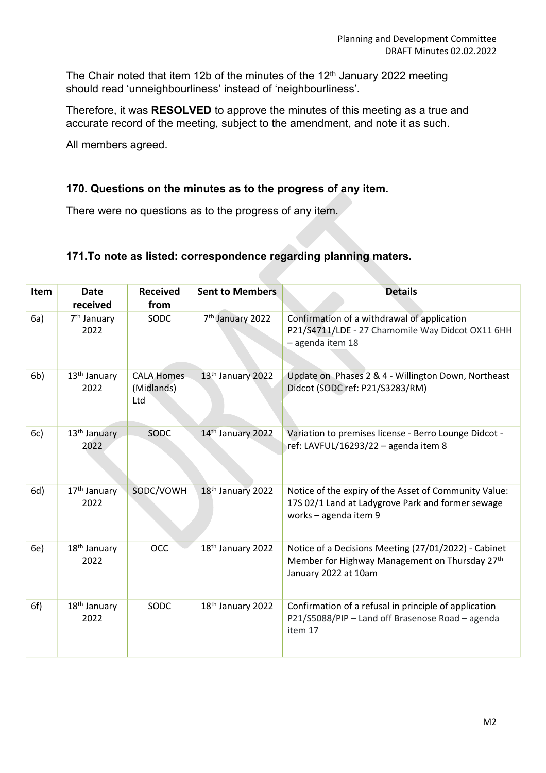The Chair noted that item 12b of the minutes of the 12<sup>th</sup> January 2022 meeting should read 'unneighbourliness' instead of 'neighbourliness'.

Therefore, it was **RESOLVED** to approve the minutes of this meeting as a true and accurate record of the meeting, subject to the amendment, and note it as such.

All members agreed.

#### **170. Questions on the minutes as to the progress of any item.**

There were no questions as to the progress of any item.

#### **171.To note as listed: correspondence regarding planning maters.**

| Item           | <b>Date</b><br>received          | <b>Received</b><br>from                | <b>Sent to Members</b>       | <b>Details</b>                                                                                                                      |
|----------------|----------------------------------|----------------------------------------|------------------------------|-------------------------------------------------------------------------------------------------------------------------------------|
| 6a)            | 7 <sup>th</sup> January<br>2022  | SODC                                   | 7 <sup>th</sup> January 2022 | Confirmation of a withdrawal of application<br>P21/S4711/LDE - 27 Chamomile Way Didcot OX11 6HH<br>- agenda item 18                 |
| 6 <sub>b</sub> | 13 <sup>th</sup> January<br>2022 | <b>CALA Homes</b><br>(Midlands)<br>Ltd | 13th January 2022            | Update on Phases 2 & 4 - Willington Down, Northeast<br>Didcot (SODC ref: P21/S3283/RM)                                              |
| 6c)            | 13 <sup>th</sup> January<br>2022 | SODC                                   | 14th January 2022            | Variation to premises license - Berro Lounge Didcot -<br>ref: LAVFUL/16293/22 - agenda item 8                                       |
| 6d)            | 17 <sup>th</sup> January<br>2022 | SODC/VOWH                              | 18th January 2022            | Notice of the expiry of the Asset of Community Value:<br>17S 02/1 Land at Ladygrove Park and former sewage<br>works - agenda item 9 |
| 6e)            | 18 <sup>th</sup> January<br>2022 | <b>OCC</b>                             | 18th January 2022            | Notice of a Decisions Meeting (27/01/2022) - Cabinet<br>Member for Highway Management on Thursday 27th<br>January 2022 at 10am      |
| 6f)            | 18 <sup>th</sup> January<br>2022 | SODC                                   | 18th January 2022            | Confirmation of a refusal in principle of application<br>P21/S5088/PIP - Land off Brasenose Road - agenda<br>item 17                |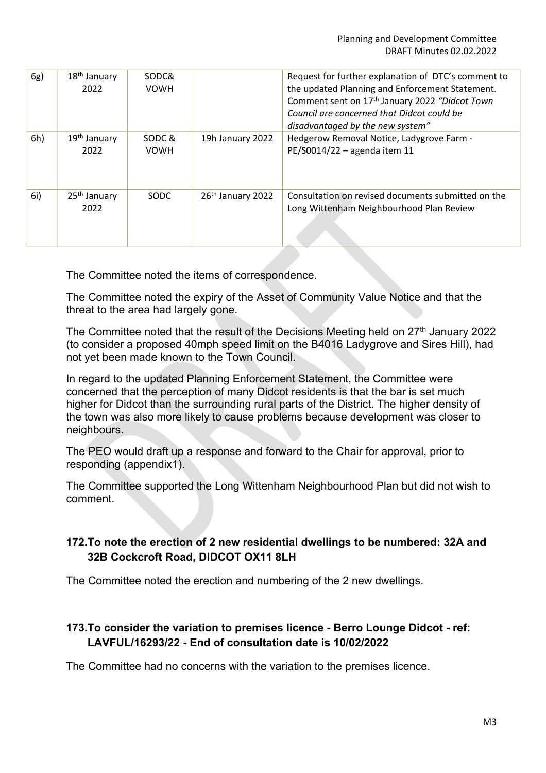| 6g) | 18 <sup>th</sup> January<br>2022 | SODC&<br><b>VOWH</b>  |                               | Request for further explanation of DTC's comment to<br>the updated Planning and Enforcement Statement.<br>Comment sent on 17 <sup>th</sup> January 2022 "Didcot Town<br>Council are concerned that Didcot could be<br>disadvantaged by the new system" |
|-----|----------------------------------|-----------------------|-------------------------------|--------------------------------------------------------------------------------------------------------------------------------------------------------------------------------------------------------------------------------------------------------|
| 6h) | 19 <sup>th</sup> January<br>2022 | SODC &<br><b>VOWH</b> | 19h January 2022              | Hedgerow Removal Notice, Ladygrove Farm -<br>PE/S0014/22 - agenda item 11                                                                                                                                                                              |
| 6i) | 25 <sup>th</sup> January<br>2022 | <b>SODC</b>           | 26 <sup>th</sup> January 2022 | Consultation on revised documents submitted on the<br>Long Wittenham Neighbourhood Plan Review                                                                                                                                                         |

The Committee noted the items of correspondence.

The Committee noted the expiry of the Asset of Community Value Notice and that the threat to the area had largely gone.

The Committee noted that the result of the Decisions Meeting held on 27<sup>th</sup> January 2022 (to consider a proposed 40mph speed limit on the B4016 Ladygrove and Sires Hill), had not yet been made known to the Town Council.

In regard to the updated Planning Enforcement Statement, the Committee were concerned that the perception of many Didcot residents is that the bar is set much higher for Didcot than the surrounding rural parts of the District. The higher density of the town was also more likely to cause problems because development was closer to neighbours.

The PEO would draft up a response and forward to the Chair for approval, prior to responding (appendix1).

The Committee supported the Long Wittenham Neighbourhood Plan but did not wish to comment.

## **172.To note the erection of 2 new residential dwellings to be numbered: 32A and 32B Cockcroft Road, DIDCOT OX11 8LH**

The Committee noted the erection and numbering of the 2 new dwellings.

### **173.To consider the variation to premises licence - Berro Lounge Didcot - ref: LAVFUL/16293/22 - End of consultation date is 10/02/2022**

The Committee had no concerns with the variation to the premises licence.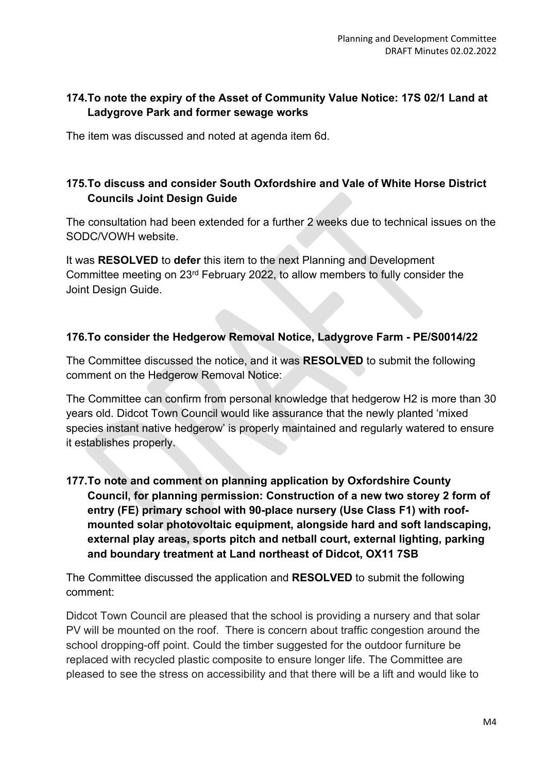## **174.To note the expiry of the Asset of Community Value Notice: 17S 02/1 Land at Ladygrove Park and former sewage works**

The item was discussed and noted at agenda item 6d.

## **175.To discuss and consider South Oxfordshire and Vale of White Horse District Councils Joint Design Guide**

The consultation had been extended for a further 2 weeks due to technical issues on the SODC/VOWH website.

It was **RESOLVED** to **defer** this item to the next Planning and Development Committee meeting on 23rd February 2022, to allow members to fully consider the Joint Design Guide.

### **176.To consider the Hedgerow Removal Notice, Ladygrove Farm - PE/S0014/22**

The Committee discussed the notice, and it was **RESOLVED** to submit the following comment on the Hedgerow Removal Notice:

The Committee can confirm from personal knowledge that hedgerow H2 is more than 30 years old. Didcot Town Council would like assurance that the newly planted 'mixed species instant native hedgerow' is properly maintained and regularly watered to ensure it establishes properly.

**177.To note and comment on planning application by Oxfordshire County Council, for planning permission: Construction of a new two storey 2 form of entry (FE) primary school with 90-place nursery (Use Class F1) with roofmounted solar photovoltaic equipment, alongside hard and soft landscaping, external play areas, sports pitch and netball court, external lighting, parking and boundary treatment at Land northeast of Didcot, OX11 7SB** 

The Committee discussed the application and **RESOLVED** to submit the following comment:

Didcot Town Council are pleased that the school is providing a nursery and that solar PV will be mounted on the roof. There is concern about traffic congestion around the school dropping-off point. Could the timber suggested for the outdoor furniture be replaced with recycled plastic composite to ensure longer life. The Committee are pleased to see the stress on accessibility and that there will be a lift and would like to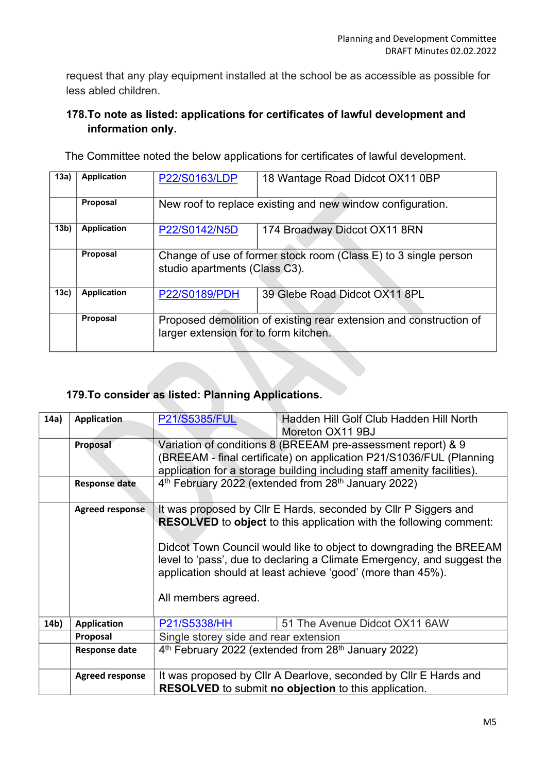request that any play equipment installed at the school be as accessible as possible for less abled children.

## **178.To note as listed: applications for certificates of lawful development and information only.**

The Committee noted the below applications for certificates of lawful development.

| 13a)            | <b>Application</b> | P22/S0163/LDP                                                                                               | 18 Wantage Road Didcot OX11 0BP                            |
|-----------------|--------------------|-------------------------------------------------------------------------------------------------------------|------------------------------------------------------------|
|                 |                    |                                                                                                             |                                                            |
|                 | Proposal           |                                                                                                             | New roof to replace existing and new window configuration. |
| 13 <sub>b</sub> | <b>Application</b> | P22/S0142/N5D                                                                                               | 174 Broadway Didcot OX11 8RN                               |
|                 | Proposal           | Change of use of former stock room (Class E) to 3 single person<br>studio apartments (Class C3).            |                                                            |
| 13c)            | <b>Application</b> | <b>P22/S0189/PDH</b>                                                                                        | 39 Glebe Road Didcot OX11 8PL                              |
|                 | Proposal           | Proposed demolition of existing rear extension and construction of<br>larger extension for to form kitchen. |                                                            |

# **179.To consider as listed: Planning Applications.**

| 14a) | <b>Application</b>     | P21/S5385/FUL                                                                                                                   | Hadden Hill Golf Club Hadden Hill North<br>Moreton OX11 9BJ                                                                                                                                                                                                                                                                                                 |  |
|------|------------------------|---------------------------------------------------------------------------------------------------------------------------------|-------------------------------------------------------------------------------------------------------------------------------------------------------------------------------------------------------------------------------------------------------------------------------------------------------------------------------------------------------------|--|
|      | Proposal               |                                                                                                                                 | Variation of conditions 8 (BREEAM pre-assessment report) & 9<br>(BREEAM - final certificate) on application P21/S1036/FUL (Planning<br>application for a storage building including staff amenity facilities).                                                                                                                                              |  |
|      | <b>Response date</b>   | 4 <sup>th</sup> February 2022 (extended from 28 <sup>th</sup> January 2022)                                                     |                                                                                                                                                                                                                                                                                                                                                             |  |
|      | <b>Agreed response</b> | All members agreed.                                                                                                             | It was proposed by Cllr E Hards, seconded by Cllr P Siggers and<br><b>RESOLVED</b> to object to this application with the following comment:<br>Didcot Town Council would like to object to downgrading the BREEAM<br>level to 'pass', due to declaring a Climate Emergency, and suggest the<br>application should at least achieve 'good' (more than 45%). |  |
| 14b) | <b>Application</b>     | P21/S5338/HH                                                                                                                    | 51 The Avenue Didcot OX11 6AW                                                                                                                                                                                                                                                                                                                               |  |
|      | Proposal               | Single storey side and rear extension                                                                                           |                                                                                                                                                                                                                                                                                                                                                             |  |
|      | <b>Response date</b>   | 4 <sup>th</sup> February 2022 (extended from 28 <sup>th</sup> January 2022)                                                     |                                                                                                                                                                                                                                                                                                                                                             |  |
|      | <b>Agreed response</b> | It was proposed by CIIr A Dearlove, seconded by CIIr E Hards and<br><b>RESOLVED</b> to submit no objection to this application. |                                                                                                                                                                                                                                                                                                                                                             |  |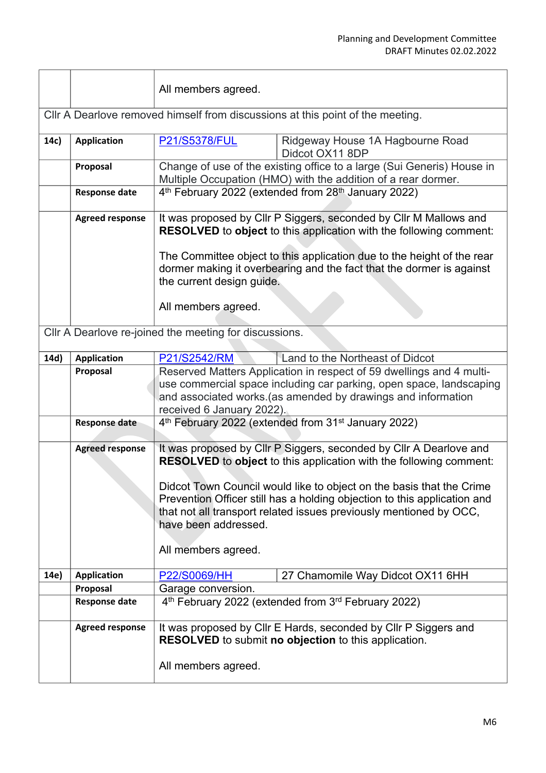|      |                                                                                | All members agreed.                                                                                                                                                                                                                                                                                                                           |                                                                                                                                                                                                                                                                                                                                                                    |  |
|------|--------------------------------------------------------------------------------|-----------------------------------------------------------------------------------------------------------------------------------------------------------------------------------------------------------------------------------------------------------------------------------------------------------------------------------------------|--------------------------------------------------------------------------------------------------------------------------------------------------------------------------------------------------------------------------------------------------------------------------------------------------------------------------------------------------------------------|--|
|      | CIIr A Dearlove removed himself from discussions at this point of the meeting. |                                                                                                                                                                                                                                                                                                                                               |                                                                                                                                                                                                                                                                                                                                                                    |  |
| 14c) | <b>Application</b>                                                             | <b>P21/S5378/FUL</b>                                                                                                                                                                                                                                                                                                                          | Ridgeway House 1A Hagbourne Road<br>Didcot OX11 8DP                                                                                                                                                                                                                                                                                                                |  |
|      | Proposal                                                                       |                                                                                                                                                                                                                                                                                                                                               | Change of use of the existing office to a large (Sui Generis) House in<br>Multiple Occupation (HMO) with the addition of a rear dormer.                                                                                                                                                                                                                            |  |
|      | <b>Response date</b>                                                           | 4 <sup>th</sup> February 2022 (extended from 28 <sup>th</sup> January 2022)                                                                                                                                                                                                                                                                   |                                                                                                                                                                                                                                                                                                                                                                    |  |
|      | <b>Agreed response</b>                                                         | It was proposed by Cllr P Siggers, seconded by Cllr M Mallows and<br>RESOLVED to object to this application with the following comment:<br>The Committee object to this application due to the height of the rear<br>dormer making it overbearing and the fact that the dormer is against<br>the current design guide.<br>All members agreed. |                                                                                                                                                                                                                                                                                                                                                                    |  |
|      |                                                                                | Cllr A Dearlove re-joined the meeting for discussions.                                                                                                                                                                                                                                                                                        |                                                                                                                                                                                                                                                                                                                                                                    |  |
|      |                                                                                |                                                                                                                                                                                                                                                                                                                                               |                                                                                                                                                                                                                                                                                                                                                                    |  |
| 14d) | <b>Application</b>                                                             | P21/S2542/RM                                                                                                                                                                                                                                                                                                                                  | Land to the Northeast of Didcot                                                                                                                                                                                                                                                                                                                                    |  |
|      | Proposal                                                                       | received 6 January 2022).                                                                                                                                                                                                                                                                                                                     | Reserved Matters Application in respect of 59 dwellings and 4 multi-<br>use commercial space including car parking, open space, landscaping<br>and associated works.(as amended by drawings and information                                                                                                                                                        |  |
|      | <b>Response date</b>                                                           | 4th February 2022 (extended from 31 <sup>st</sup> January 2022)                                                                                                                                                                                                                                                                               |                                                                                                                                                                                                                                                                                                                                                                    |  |
|      | <b>Agreed response</b>                                                         | have been addressed.<br>All members agreed.                                                                                                                                                                                                                                                                                                   | It was proposed by Cllr P Siggers, seconded by Cllr A Dearlove and<br>RESOLVED to object to this application with the following comment:<br>Didcot Town Council would like to object on the basis that the Crime<br>Prevention Officer still has a holding objection to this application and<br>that not all transport related issues previously mentioned by OCC, |  |
| 14e) | <b>Application</b>                                                             | P22/S0069/HH                                                                                                                                                                                                                                                                                                                                  | 27 Chamomile Way Didcot OX11 6HH                                                                                                                                                                                                                                                                                                                                   |  |
|      | Proposal                                                                       | Garage conversion.                                                                                                                                                                                                                                                                                                                            |                                                                                                                                                                                                                                                                                                                                                                    |  |
|      | <b>Response date</b>                                                           |                                                                                                                                                                                                                                                                                                                                               | 4 <sup>th</sup> February 2022 (extended from 3 <sup>rd</sup> February 2022)                                                                                                                                                                                                                                                                                        |  |
|      | <b>Agreed response</b>                                                         | All members agreed.                                                                                                                                                                                                                                                                                                                           | It was proposed by CIIr E Hards, seconded by CIIr P Siggers and<br><b>RESOLVED</b> to submit no objection to this application.                                                                                                                                                                                                                                     |  |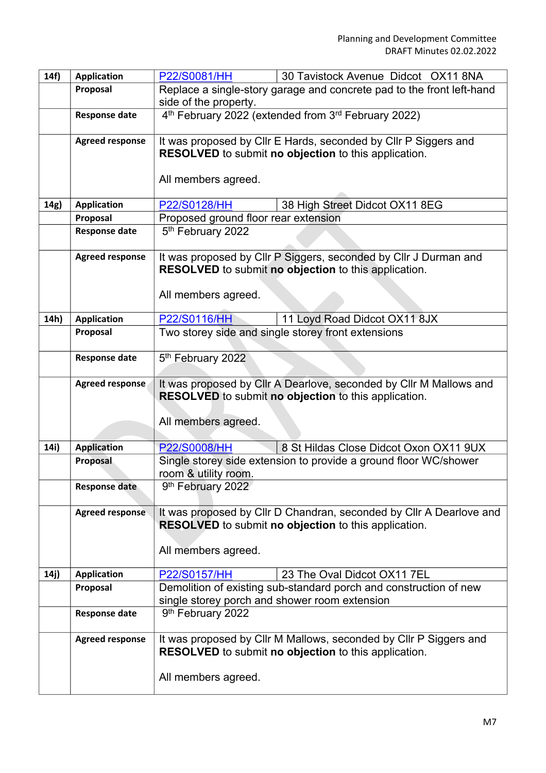| 14f) | <b>Application</b>     | 30 Tavistock Avenue Didcot OX11 8NA<br>P22/S0081/HH                         |  |  |
|------|------------------------|-----------------------------------------------------------------------------|--|--|
|      | Proposal               | Replace a single-story garage and concrete pad to the front left-hand       |  |  |
|      |                        | side of the property.                                                       |  |  |
|      | <b>Response date</b>   | 4 <sup>th</sup> February 2022 (extended from 3 <sup>rd</sup> February 2022) |  |  |
|      |                        |                                                                             |  |  |
|      | <b>Agreed response</b> | It was proposed by Cllr E Hards, seconded by Cllr P Siggers and             |  |  |
|      |                        | RESOLVED to submit no objection to this application.                        |  |  |
|      |                        |                                                                             |  |  |
|      |                        | All members agreed.                                                         |  |  |
| 14g) | <b>Application</b>     | 38 High Street Didcot OX11 8EG<br>P22/S0128/HH                              |  |  |
|      | Proposal               | Proposed ground floor rear extension                                        |  |  |
|      | <b>Response date</b>   | 5 <sup>th</sup> February 2022                                               |  |  |
|      |                        |                                                                             |  |  |
|      | <b>Agreed response</b> | It was proposed by Cllr P Siggers, seconded by Cllr J Durman and            |  |  |
|      |                        | RESOLVED to submit no objection to this application.                        |  |  |
|      |                        |                                                                             |  |  |
|      |                        | All members agreed.                                                         |  |  |
|      |                        |                                                                             |  |  |
| 14h) | <b>Application</b>     | P22/S0116/HH<br>11 Loyd Road Didcot OX11 8JX                                |  |  |
|      | Proposal               | Two storey side and single storey front extensions                          |  |  |
|      |                        |                                                                             |  |  |
|      | <b>Response date</b>   | 5th February 2022                                                           |  |  |
|      | Agreed response        | It was proposed by CIIr A Dearlove, seconded by CIIr M Mallows and          |  |  |
|      |                        | <b>RESOLVED</b> to submit no objection to this application.                 |  |  |
|      |                        |                                                                             |  |  |
|      |                        | All members agreed.                                                         |  |  |
|      |                        |                                                                             |  |  |
| 14i) | <b>Application</b>     | P22/S0008/HH<br>8 St Hildas Close Didcot Oxon OX11 9UX                      |  |  |
|      | <b>Proposal</b>        | Single storey side extension to provide a ground floor WC/shower            |  |  |
|      |                        | room & utility room.                                                        |  |  |
|      | <b>Response date</b>   | 9th February 2022                                                           |  |  |
|      |                        |                                                                             |  |  |
|      | <b>Agreed response</b> | It was proposed by Cllr D Chandran, seconded by Cllr A Dearlove and         |  |  |
|      |                        | <b>RESOLVED</b> to submit no objection to this application.                 |  |  |
|      |                        | All members agreed.                                                         |  |  |
|      |                        |                                                                             |  |  |
| 14j) | <b>Application</b>     | P22/S0157/HH<br>23 The Oval Didcot OX11 7EL                                 |  |  |
|      | Proposal               | Demolition of existing sub-standard porch and construction of new           |  |  |
|      |                        | single storey porch and shower room extension                               |  |  |
|      | <b>Response date</b>   | 9th February 2022                                                           |  |  |
|      |                        |                                                                             |  |  |
|      | <b>Agreed response</b> | It was proposed by Cllr M Mallows, seconded by Cllr P Siggers and           |  |  |
|      |                        | <b>RESOLVED</b> to submit no objection to this application.                 |  |  |
|      |                        |                                                                             |  |  |
|      |                        | All members agreed.                                                         |  |  |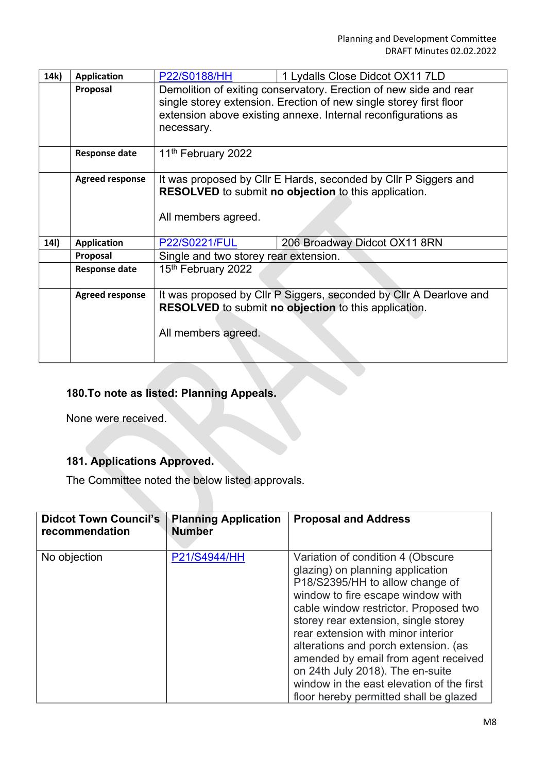| 14k) | <b>Application</b>     | <b>P22/S0188/HH</b>                                         | 1 Lydalls Close Didcot OX11 7LD                                    |  |
|------|------------------------|-------------------------------------------------------------|--------------------------------------------------------------------|--|
|      | Proposal               |                                                             | Demolition of exiting conservatory. Erection of new side and rear  |  |
|      |                        |                                                             | single storey extension. Erection of new single storey first floor |  |
|      |                        |                                                             | extension above existing annexe. Internal reconfigurations as      |  |
|      |                        | necessary.                                                  |                                                                    |  |
|      |                        |                                                             |                                                                    |  |
|      | <b>Response date</b>   | 11 <sup>th</sup> February 2022                              |                                                                    |  |
|      |                        |                                                             |                                                                    |  |
|      | <b>Agreed response</b> |                                                             | It was proposed by CIIr E Hards, seconded by CIIr P Siggers and    |  |
|      |                        |                                                             | <b>RESOLVED</b> to submit no objection to this application.        |  |
|      |                        |                                                             |                                                                    |  |
|      |                        | All members agreed.                                         |                                                                    |  |
| 14I) | <b>Application</b>     | P22/S0221/FUL                                               | 206 Broadway Didcot OX11 8RN                                       |  |
|      | Proposal               | Single and two storey rear extension.                       |                                                                    |  |
|      | <b>Response date</b>   | 15th February 2022                                          |                                                                    |  |
|      |                        |                                                             |                                                                    |  |
|      | <b>Agreed response</b> |                                                             | It was proposed by Cllr P Siggers, seconded by Cllr A Dearlove and |  |
|      |                        | <b>RESOLVED</b> to submit no objection to this application. |                                                                    |  |
|      |                        |                                                             |                                                                    |  |
|      |                        | All members agreed.                                         |                                                                    |  |
|      |                        |                                                             |                                                                    |  |
|      |                        |                                                             |                                                                    |  |

# **180.To note as listed: Planning Appeals.**

None were received.

# **181. Applications Approved.**

The Committee noted the below listed approvals.

| <b>Didcot Town Council's</b><br>recommendation | <b>Planning Application</b><br><b>Number</b> | <b>Proposal and Address</b>                                                                                                                                                                                                                                                                                                                                                                                                                                                     |
|------------------------------------------------|----------------------------------------------|---------------------------------------------------------------------------------------------------------------------------------------------------------------------------------------------------------------------------------------------------------------------------------------------------------------------------------------------------------------------------------------------------------------------------------------------------------------------------------|
| No objection                                   | P21/S4944/HH                                 | Variation of condition 4 (Obscure<br>glazing) on planning application<br>P18/S2395/HH to allow change of<br>window to fire escape window with<br>cable window restrictor. Proposed two<br>storey rear extension, single storey<br>rear extension with minor interior<br>alterations and porch extension. (as<br>amended by email from agent received<br>on 24th July 2018). The en-suite<br>window in the east elevation of the first<br>floor hereby permitted shall be glazed |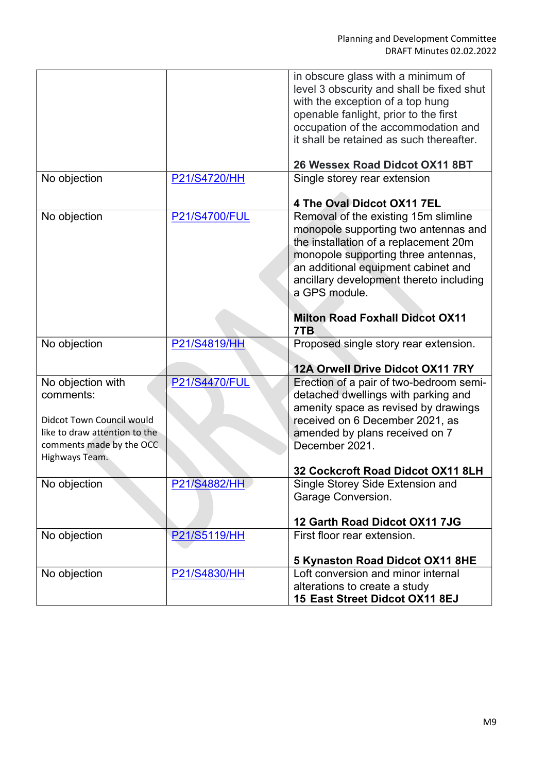|                               |                      | in obscure glass with a minimum of            |
|-------------------------------|----------------------|-----------------------------------------------|
|                               |                      | level 3 obscurity and shall be fixed shut     |
|                               |                      | with the exception of a top hung              |
|                               |                      | openable fanlight, prior to the first         |
|                               |                      | occupation of the accommodation and           |
|                               |                      | it shall be retained as such thereafter.      |
|                               |                      | 26 Wessex Road Didcot OX11 8BT                |
| No objection                  | P21/S4720/HH         | Single storey rear extension                  |
|                               |                      | 4 The Oval Didcot OX11 7EL                    |
| No objection                  | <b>P21/S4700/FUL</b> | Removal of the existing 15m slimline          |
|                               |                      | monopole supporting two antennas and          |
|                               |                      | the installation of a replacement 20m         |
|                               |                      | monopole supporting three antennas,           |
|                               |                      | an additional equipment cabinet and           |
|                               |                      | ancillary development thereto including       |
|                               |                      | a GPS module.                                 |
|                               |                      |                                               |
|                               |                      | <b>Milton Road Foxhall Didcot OX11</b><br>7TB |
|                               |                      |                                               |
| No objection                  | P21/S4819/HH         | Proposed single story rear extension.         |
|                               |                      | 12A Orwell Drive Didcot OX11 7RY              |
| No objection with             | <b>P21/S4470/FUL</b> | Erection of a pair of two-bedroom semi-       |
| comments:                     |                      |                                               |
|                               |                      | detached dwellings with parking and           |
| Didcot Town Council would     |                      | amenity space as revised by drawings          |
|                               |                      | received on 6 December 2021, as               |
| like to draw attention to the |                      | amended by plans received on 7                |
| comments made by the OCC.     |                      | December 2021.                                |
| Highways Team.                |                      | 32 Cockcroft Road Didcot OX11 8LH             |
| No objection                  | P21/S4882/HH         | Single Storey Side Extension and              |
|                               |                      | Garage Conversion.                            |
|                               |                      |                                               |
|                               |                      | 12 Garth Road Didcot OX11 7JG                 |
| No objection                  | P21/S5119/HH         | First floor rear extension.                   |
|                               |                      | 5 Kynaston Road Didcot OX11 8HE               |
| No objection                  | P21/S4830/HH         | Loft conversion and minor internal            |
|                               |                      | alterations to create a study                 |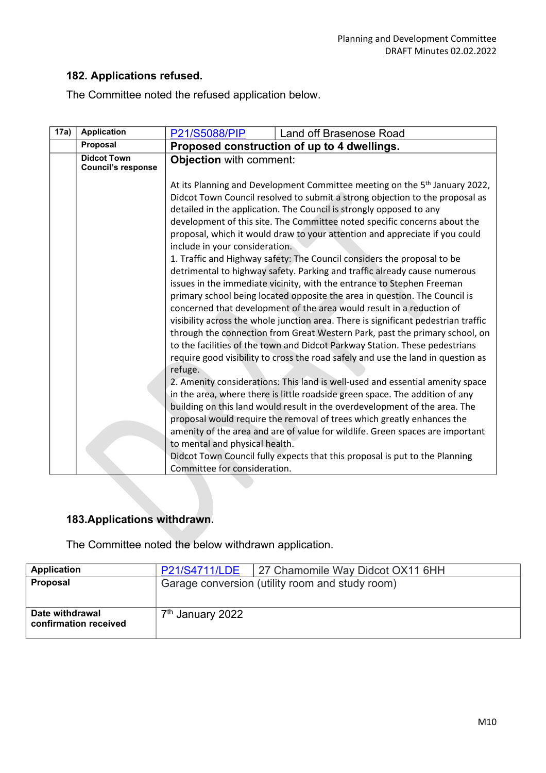### **182. Applications refused.**

The Committee noted the refused application below.

| 17a) | <b>Application</b>                              | P21/S5088/PIP                                                                                                                                                                                                                                                                                                                                                                                                                                                                                                                                                                                                                                                                                                                                                                                                                                                                                                                                                                                             | Land off Brasenose Road                                                     |  |
|------|-------------------------------------------------|-----------------------------------------------------------------------------------------------------------------------------------------------------------------------------------------------------------------------------------------------------------------------------------------------------------------------------------------------------------------------------------------------------------------------------------------------------------------------------------------------------------------------------------------------------------------------------------------------------------------------------------------------------------------------------------------------------------------------------------------------------------------------------------------------------------------------------------------------------------------------------------------------------------------------------------------------------------------------------------------------------------|-----------------------------------------------------------------------------|--|
|      | Proposal                                        |                                                                                                                                                                                                                                                                                                                                                                                                                                                                                                                                                                                                                                                                                                                                                                                                                                                                                                                                                                                                           | Proposed construction of up to 4 dwellings.                                 |  |
|      | <b>Didcot Town</b><br><b>Council's response</b> | Objection with comment:                                                                                                                                                                                                                                                                                                                                                                                                                                                                                                                                                                                                                                                                                                                                                                                                                                                                                                                                                                                   |                                                                             |  |
|      |                                                 | At its Planning and Development Committee meeting on the 5 <sup>th</sup> January 2022,<br>Didcot Town Council resolved to submit a strong objection to the proposal as<br>detailed in the application. The Council is strongly opposed to any<br>development of this site. The Committee noted specific concerns about the<br>proposal, which it would draw to your attention and appreciate if you could<br>include in your consideration.<br>1. Traffic and Highway safety: The Council considers the proposal to be<br>detrimental to highway safety. Parking and traffic already cause numerous<br>issues in the immediate vicinity, with the entrance to Stephen Freeman<br>primary school being located opposite the area in question. The Council is<br>concerned that development of the area would result in a reduction of<br>visibility across the whole junction area. There is significant pedestrian traffic<br>through the connection from Great Western Park, past the primary school, on |                                                                             |  |
|      |                                                 | to the facilities of the town and Didcot Parkway Station. These pedestrians<br>require good visibility to cross the road safely and use the land in question as<br>refuge.                                                                                                                                                                                                                                                                                                                                                                                                                                                                                                                                                                                                                                                                                                                                                                                                                                |                                                                             |  |
|      |                                                 | 2. Amenity considerations: This land is well-used and essential amenity space<br>in the area, where there is little roadside green space. The addition of any<br>building on this land would result in the overdevelopment of the area. The                                                                                                                                                                                                                                                                                                                                                                                                                                                                                                                                                                                                                                                                                                                                                               |                                                                             |  |
|      |                                                 | proposal would require the removal of trees which greatly enhances the<br>amenity of the area and are of value for wildlife. Green spaces are important<br>to mental and physical health.                                                                                                                                                                                                                                                                                                                                                                                                                                                                                                                                                                                                                                                                                                                                                                                                                 |                                                                             |  |
|      |                                                 | Committee for consideration.                                                                                                                                                                                                                                                                                                                                                                                                                                                                                                                                                                                                                                                                                                                                                                                                                                                                                                                                                                              | Didcot Town Council fully expects that this proposal is put to the Planning |  |

# **183.Applications withdrawn.**

The Committee noted the below withdrawn application.

| <b>Application</b>                       | P21/S4711/LDE   27 Chamomile Way Didcot OX11 6HH |
|------------------------------------------|--------------------------------------------------|
| Proposal                                 | Garage conversion (utility room and study room)  |
| Date withdrawal<br>confirmation received | 7 <sup>th</sup> January 2022                     |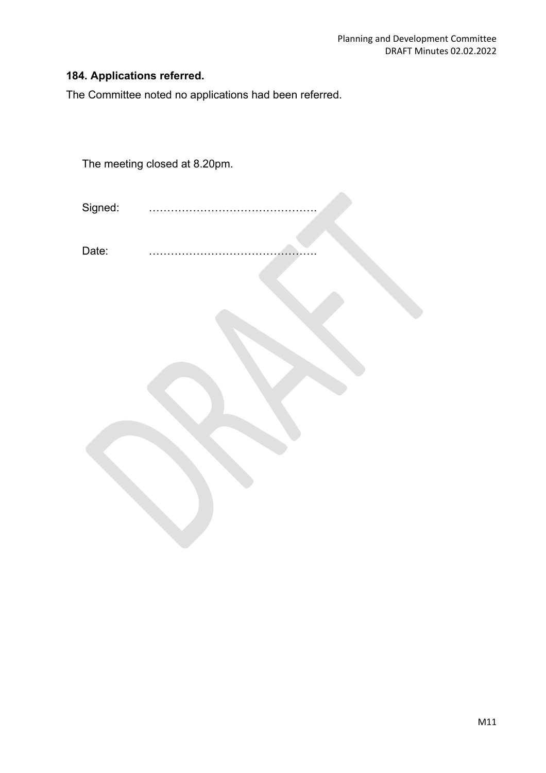# **184. Applications referred.**

The Committee noted no applications had been referred.

The meeting closed at 8.20pm. Signed: . Date: .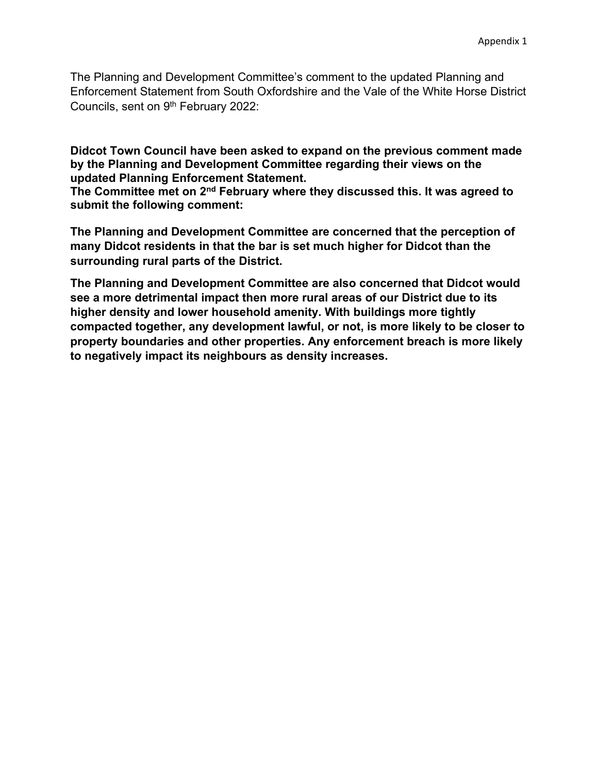The Planning and Development Committee's comment to the updated Planning and Enforcement Statement from South Oxfordshire and the Vale of the White Horse District Councils, sent on 9th February 2022:

**Didcot Town Council have been asked to expand on the previous comment made by the Planning and Development Committee regarding their views on the updated Planning Enforcement Statement.**

**The Committee met on 2nd February where they discussed this. It was agreed to submit the following comment:**

**The Planning and Development Committee are concerned that the perception of many Didcot residents in that the bar is set much higher for Didcot than the surrounding rural parts of the District.** 

**The Planning and Development Committee are also concerned that Didcot would see a more detrimental impact then more rural areas of our District due to its higher density and lower household amenity. With buildings more tightly compacted together, any development lawful, or not, is more likely to be closer to property boundaries and other properties. Any enforcement breach is more likely to negatively impact its neighbours as density increases.**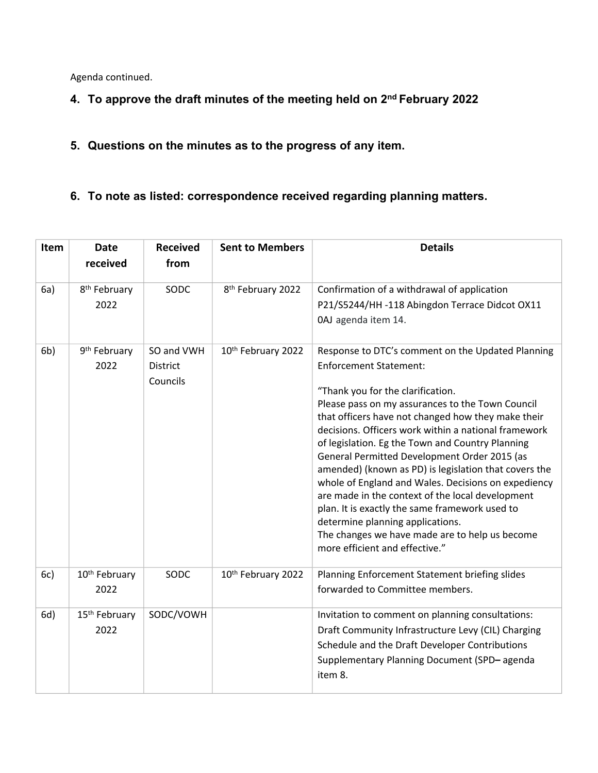Agenda continued.

- **4. To approve the draft minutes of the meeting held on 2nd February 2022**
- **5. Questions on the minutes as to the progress of any item.**
- **6. To note as listed: correspondence received regarding planning matters.**

| Item           | <b>Date</b><br>received           | <b>Received</b><br>from                   | <b>Sent to Members</b>        | <b>Details</b>                                                                                                                                                                                                                                                                                                                                                                                                                                                                                                                                                                                                                                                                                                                              |
|----------------|-----------------------------------|-------------------------------------------|-------------------------------|---------------------------------------------------------------------------------------------------------------------------------------------------------------------------------------------------------------------------------------------------------------------------------------------------------------------------------------------------------------------------------------------------------------------------------------------------------------------------------------------------------------------------------------------------------------------------------------------------------------------------------------------------------------------------------------------------------------------------------------------|
| 6a)            | 8 <sup>th</sup> February<br>2022  | SODC                                      | 8 <sup>th</sup> February 2022 | Confirmation of a withdrawal of application<br>P21/S5244/HH -118 Abingdon Terrace Didcot OX11<br>0AJ agenda item 14.                                                                                                                                                                                                                                                                                                                                                                                                                                                                                                                                                                                                                        |
| 6 <sub>b</sub> | 9 <sup>th</sup> February<br>2022  | SO and VWH<br><b>District</b><br>Councils | 10th February 2022            | Response to DTC's comment on the Updated Planning<br><b>Enforcement Statement:</b><br>"Thank you for the clarification.<br>Please pass on my assurances to the Town Council<br>that officers have not changed how they make their<br>decisions. Officers work within a national framework<br>of legislation. Eg the Town and Country Planning<br>General Permitted Development Order 2015 (as<br>amended) (known as PD) is legislation that covers the<br>whole of England and Wales. Decisions on expediency<br>are made in the context of the local development<br>plan. It is exactly the same framework used to<br>determine planning applications.<br>The changes we have made are to help us become<br>more efficient and effective." |
| 6c)            | 10 <sup>th</sup> February<br>2022 | SODC                                      | 10th February 2022            | Planning Enforcement Statement briefing slides<br>forwarded to Committee members.                                                                                                                                                                                                                                                                                                                                                                                                                                                                                                                                                                                                                                                           |
| 6d)            | 15 <sup>th</sup> February<br>2022 | SODC/VOWH                                 |                               | Invitation to comment on planning consultations:<br>Draft Community Infrastructure Levy (CIL) Charging<br>Schedule and the Draft Developer Contributions<br>Supplementary Planning Document (SPD-agenda<br>item 8.                                                                                                                                                                                                                                                                                                                                                                                                                                                                                                                          |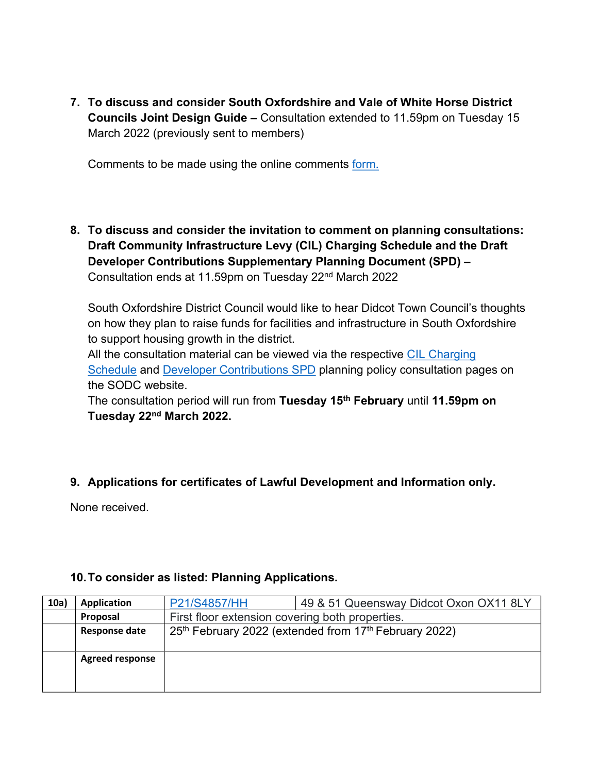**7. To discuss and consider South Oxfordshire and Vale of White Horse District Councils Joint Design Guide –** Consultation extended to 11.59pm on Tuesday 15 March 2022 (previously sent to members)

Comments to be made using the online comments [form.](https://survey.southandvale.gov.uk/s/DraftJointDesignGuide/?m=59967231mjyro)

**8. To discuss and consider the invitation to comment on planning consultations: Draft Community Infrastructure Levy (CIL) Charging Schedule and the Draft Developer Contributions Supplementary Planning Document (SPD) –**  Consultation ends at 11.59pm on Tuesday 22nd March 2022

South Oxfordshire District Council would like to hear Didcot Town Council's thoughts on how they plan to raise funds for facilities and infrastructure in South Oxfordshire to support housing growth in the district.

All the consultation material can be viewed via the respective [CIL Charging](https://www.southoxon.gov.uk/south-oxfordshire-district-council/planning-and-development/local-plan-and-planning-policies/community-infrastructure-levy-cil-charging-schedule/)  [Schedule](https://www.southoxon.gov.uk/south-oxfordshire-district-council/planning-and-development/local-plan-and-planning-policies/community-infrastructure-levy-cil-charging-schedule/) and [Developer Contributions SPD](https://www.southoxon.gov.uk/south-oxfordshire-district-council/planning-and-development/local-plan-and-planning-policies/spds-and-spgs/developer-contributions-spd/) planning policy consultation pages on the SODC website.

The consultation period will run from **Tuesday 15th February** until **11.59pm on Tuesday 22nd March 2022.**

## **9. Applications for certificates of Lawful Development and Information only.**

None received.

### **10.To consider as listed: Planning Applications.**

| 10a) | <b>Application</b>     | P21/S4857/HH                                    | 49 & 51 Queensway Didcot Oxon OX11 8LY                |
|------|------------------------|-------------------------------------------------|-------------------------------------------------------|
|      | Proposal               | First floor extension covering both properties. |                                                       |
|      | <b>Response date</b>   |                                                 | 25th February 2022 (extended from 17th February 2022) |
|      |                        |                                                 |                                                       |
|      | <b>Agreed response</b> |                                                 |                                                       |
|      |                        |                                                 |                                                       |
|      |                        |                                                 |                                                       |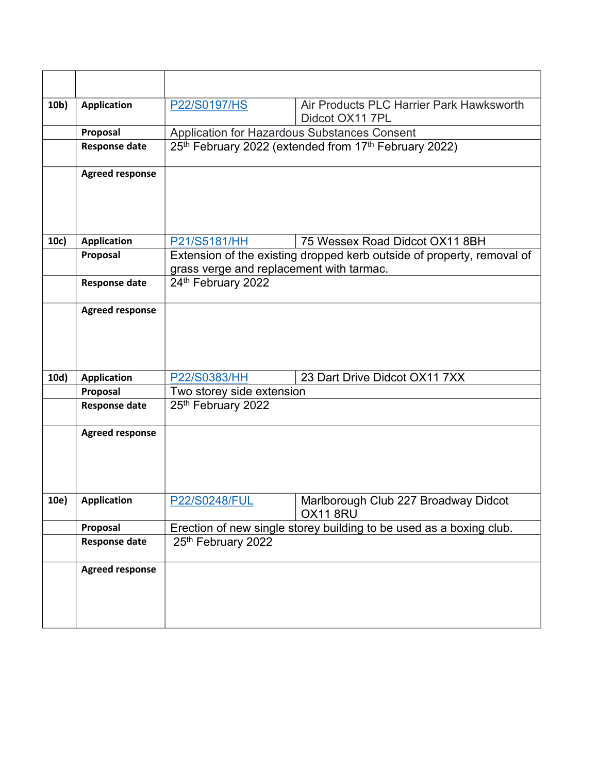| 10 <sub>b</sub> | <b>Application</b>     | P22/S0197/HS                                                                              | Air Products PLC Harrier Park Hawksworth<br>Didcot OX11 7PL |
|-----------------|------------------------|-------------------------------------------------------------------------------------------|-------------------------------------------------------------|
|                 | Proposal               | Application for Hazardous Substances Consent                                              |                                                             |
|                 | <b>Response date</b>   |                                                                                           | 25th February 2022 (extended from 17th February 2022)       |
|                 |                        |                                                                                           |                                                             |
|                 | <b>Agreed response</b> |                                                                                           |                                                             |
|                 |                        |                                                                                           |                                                             |
|                 |                        |                                                                                           |                                                             |
| 10c)            | <b>Application</b>     | P21/S5181/HH                                                                              | 75 Wessex Road Didcot OX11 8BH                              |
|                 | Proposal               | Extension of the existing dropped kerb outside of property, removal of                    |                                                             |
|                 |                        | grass verge and replacement with tarmac.                                                  |                                                             |
|                 | <b>Response date</b>   | 24th February 2022                                                                        |                                                             |
|                 | <b>Agreed response</b> |                                                                                           |                                                             |
|                 |                        |                                                                                           |                                                             |
|                 |                        |                                                                                           |                                                             |
|                 |                        |                                                                                           |                                                             |
| 10d)            | <b>Application</b>     | P22/S0383/HH                                                                              | 23 Dart Drive Didcot OX11 7XX                               |
|                 | Proposal               | Two storey side extension                                                                 |                                                             |
|                 | <b>Response date</b>   | 25th February 2022                                                                        |                                                             |
|                 | <b>Agreed response</b> |                                                                                           |                                                             |
|                 |                        |                                                                                           |                                                             |
|                 |                        |                                                                                           |                                                             |
|                 |                        |                                                                                           |                                                             |
|                 |                        |                                                                                           |                                                             |
| 10e)            | <b>Application</b>     | <b>P22/S0248/FUL</b>                                                                      | Marlborough Club 227 Broadway Didcot<br>OX118RU             |
|                 | Proposal               |                                                                                           |                                                             |
|                 | <b>Response date</b>   | Erection of new single storey building to be used as a boxing club.<br>25th February 2022 |                                                             |
|                 |                        |                                                                                           |                                                             |
|                 | <b>Agreed response</b> |                                                                                           |                                                             |
|                 |                        |                                                                                           |                                                             |
|                 |                        |                                                                                           |                                                             |
|                 |                        |                                                                                           |                                                             |
|                 |                        |                                                                                           |                                                             |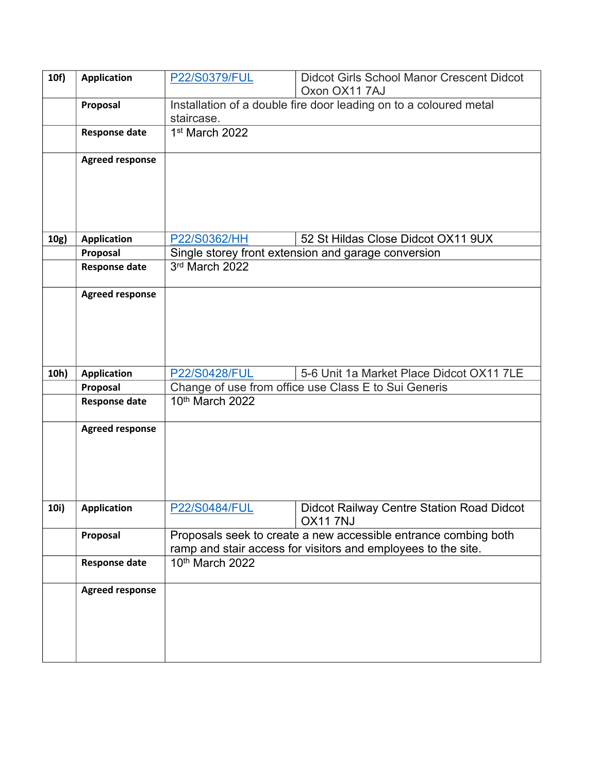| 10f) | <b>Application</b>     | P22/S0379/FUL                                                                   | <b>Didcot Girls School Manor Crescent Didcot</b><br>Oxon OX11 7AJ |
|------|------------------------|---------------------------------------------------------------------------------|-------------------------------------------------------------------|
|      | Proposal               | Installation of a double fire door leading on to a coloured metal<br>staircase. |                                                                   |
|      | <b>Response date</b>   | 1 <sup>st</sup> March 2022                                                      |                                                                   |
|      | <b>Agreed response</b> |                                                                                 |                                                                   |
|      |                        |                                                                                 |                                                                   |
|      |                        |                                                                                 |                                                                   |
| 10g) | <b>Application</b>     | P22/S0362/HH                                                                    | 52 St Hildas Close Didcot OX11 9UX                                |
|      | Proposal               |                                                                                 | Single storey front extension and garage conversion               |
|      | <b>Response date</b>   | 3rd March 2022                                                                  |                                                                   |
|      | <b>Agreed response</b> |                                                                                 |                                                                   |
|      |                        |                                                                                 |                                                                   |
|      |                        |                                                                                 |                                                                   |
|      |                        |                                                                                 |                                                                   |
|      |                        |                                                                                 |                                                                   |
| 10h) | <b>Application</b>     | <b>P22/S0428/FUL</b>                                                            | 5-6 Unit 1a Market Place Didcot OX11 7LE                          |
|      | Proposal               |                                                                                 | Change of use from office use Class E to Sui Generis              |
|      | <b>Response date</b>   | 10th March 2022                                                                 |                                                                   |
|      | <b>Agreed response</b> |                                                                                 |                                                                   |
|      |                        |                                                                                 |                                                                   |
|      |                        |                                                                                 |                                                                   |
|      |                        |                                                                                 |                                                                   |
|      |                        |                                                                                 |                                                                   |
| 10i) | Application            | <b>P22/S0484/FUL</b>                                                            | Didcot Railway Centre Station Road Didcot<br>OX117NJ              |
|      | Proposal               |                                                                                 | Proposals seek to create a new accessible entrance combing both   |
|      |                        |                                                                                 | ramp and stair access for visitors and employees to the site.     |
|      | <b>Response date</b>   | 10 <sup>th</sup> March 2022                                                     |                                                                   |
|      | <b>Agreed response</b> |                                                                                 |                                                                   |
|      |                        |                                                                                 |                                                                   |
|      |                        |                                                                                 |                                                                   |
|      |                        |                                                                                 |                                                                   |
|      |                        |                                                                                 |                                                                   |
|      |                        |                                                                                 |                                                                   |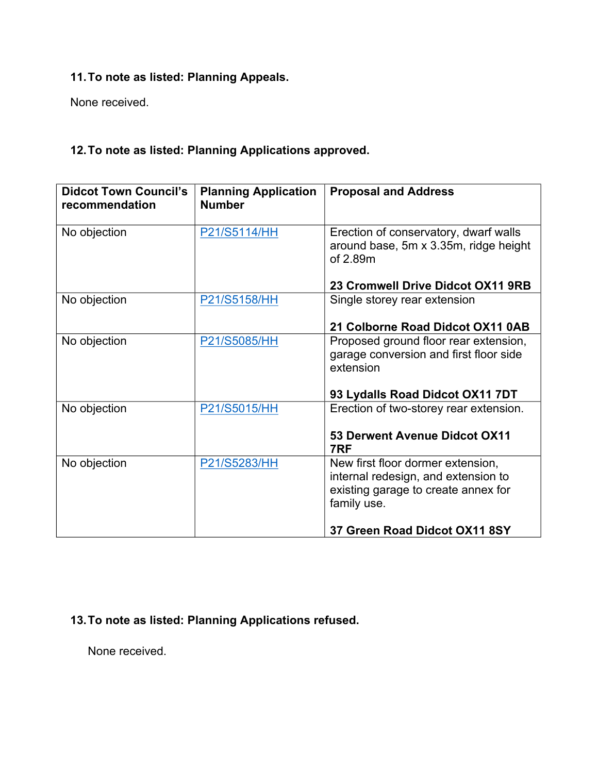## **11.To note as listed: Planning Appeals.**

None received.

## **12.To note as listed: Planning Applications approved.**

| <b>Didcot Town Council's</b><br>recommendation | <b>Planning Application</b><br><b>Number</b> | <b>Proposal and Address</b>                                                                                                    |
|------------------------------------------------|----------------------------------------------|--------------------------------------------------------------------------------------------------------------------------------|
| No objection                                   | P21/S5114/HH                                 | Erection of conservatory, dwarf walls<br>around base, 5m x 3.35m, ridge height<br>of 2.89m                                     |
|                                                |                                              | 23 Cromwell Drive Didcot OX11 9RB                                                                                              |
| No objection                                   | P21/S5158/HH                                 | Single storey rear extension                                                                                                   |
|                                                |                                              | 21 Colborne Road Didcot OX11 0AB                                                                                               |
| No objection                                   | P21/S5085/HH                                 | Proposed ground floor rear extension,<br>garage conversion and first floor side<br>extension                                   |
|                                                |                                              | 93 Lydalls Road Didcot OX11 7DT                                                                                                |
| No objection                                   | P21/S5015/HH                                 | Erection of two-storey rear extension.                                                                                         |
|                                                |                                              | 53 Derwent Avenue Didcot OX11<br>7RF                                                                                           |
| No objection                                   | P21/S5283/HH                                 | New first floor dormer extension,<br>internal redesign, and extension to<br>existing garage to create annex for<br>family use. |
|                                                |                                              | 37 Green Road Didcot OX11 8SY                                                                                                  |

**13.To note as listed: Planning Applications refused.**

None received.